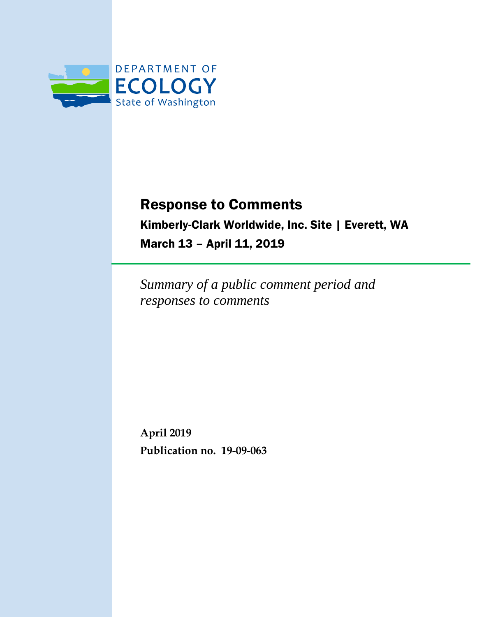

### Response to Comments Kimberly-Clark Worldwide, Inc. Site | Everett, WA March 13 – April 11, 2019

*Summary of a public comment period and responses to comments*

**April 2019 Publication no. 19-09-063**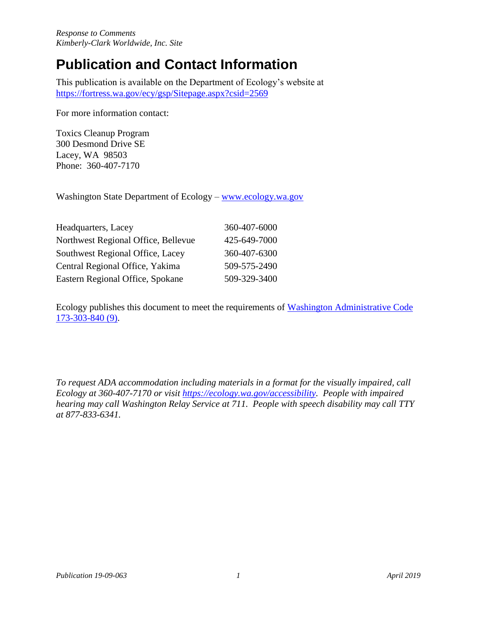### **Publication and Contact Information**

This publication is available on the Department of Ecology's website at [https://fortress.wa.gov/ecy/gsp/Sitepage.aspx?csid=2569](https://fortress.wa.gov/ecy/publications/SummaryPages/xx05xxx.html)

For more information contact:

Toxics Cleanup Program 300 Desmond Drive SE Lacey, WA 98503 Phone: 360-407-7170

Washington State Department of Ecology – [www.ecology.wa.gov](http://www.ecology.wa.gov/)

| Headquarters, Lacey                 | 360-407-6000 |
|-------------------------------------|--------------|
| Northwest Regional Office, Bellevue | 425-649-7000 |
| Southwest Regional Office, Lacey    | 360-407-6300 |
| Central Regional Office, Yakima     | 509-575-2490 |
| Eastern Regional Office, Spokane    | 509-329-3400 |

Ecology publishes this document to meet the requirements of [Washington Administrative Code](http://apps.leg.wa.gov/wac/default.aspx?cite=173-303-840)  [173-303-840 \(9\).](http://apps.leg.wa.gov/wac/default.aspx?cite=173-303-840)

*To request ADA accommodation including materials in a format for the visually impaired, call Ecology at 360-407-7170 or visit [https://ecology.wa.gov/accessibility.](https://ecology.wa.gov/accessibility) People with impaired hearing may call Washington Relay Service at 711. People with speech disability may call TTY at 877-833-6341.*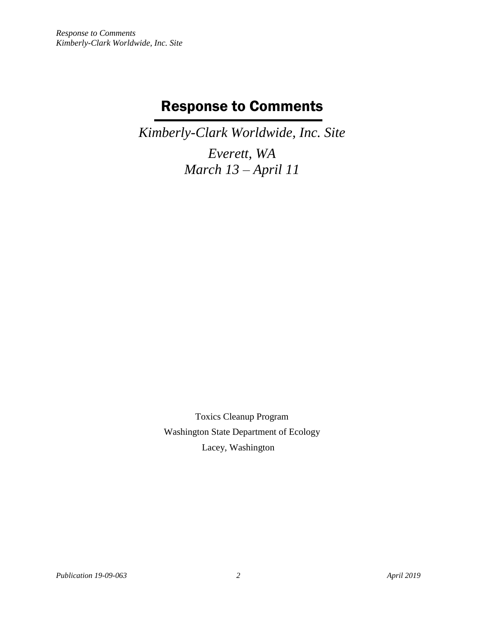### Response to Comments

*Kimberly-Clark Worldwide, Inc. Site*

*Everett, WA March 13 – April 11*

Toxics Cleanup Program Washington State Department of Ecology Lacey, Washington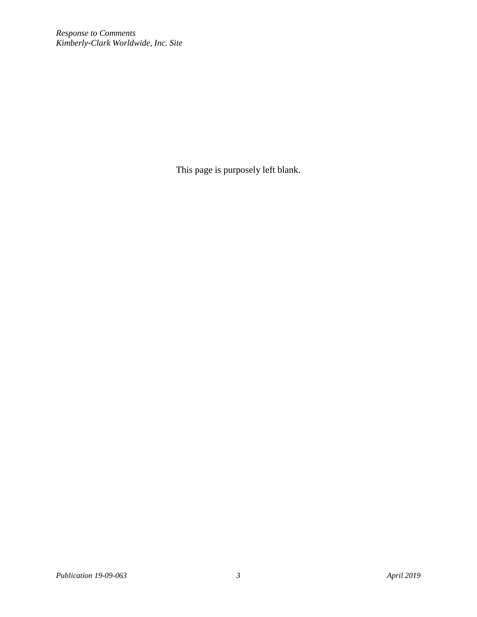*Response to Comments Kimberly-Clark Worldwide, Inc. Site*

This page is purposely left blank.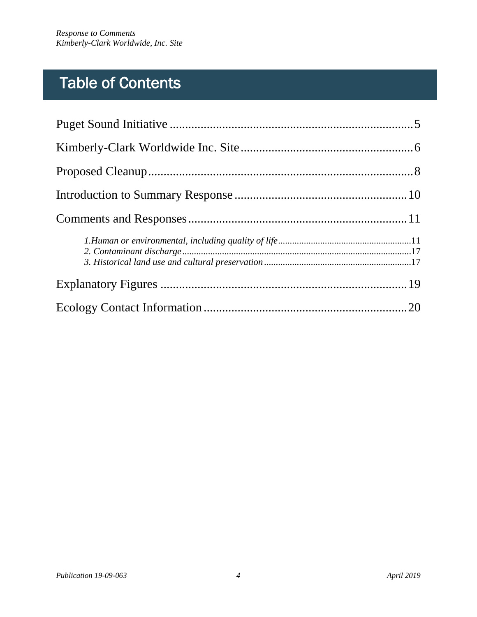# Table of Contents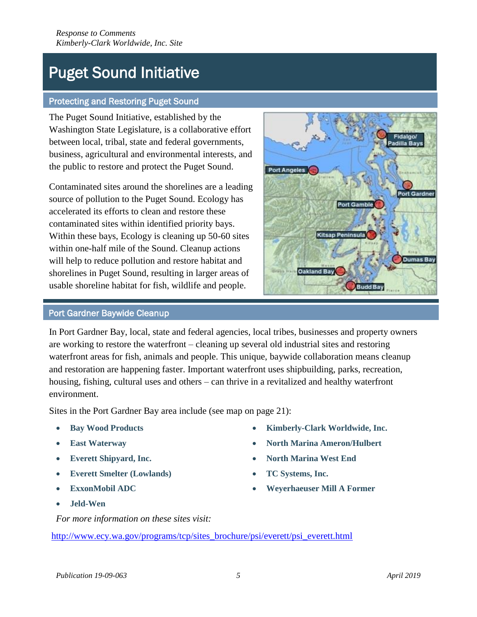### Puget Sound Initiative

#### Protecting and Restoring Puget Sound

The Puget Sound Initiative, established by the Washington State Legislature, is a collaborative effort between local, tribal, state and federal governments, business, agricultural and environmental interests, and the public to restore and protect the Puget Sound.

Contaminated sites around the shorelines are a leading source of pollution to the Puget Sound. Ecology has accelerated its efforts to clean and restore these contaminated sites within identified priority bays. Within these bays, Ecology is cleaning up 50-60 sites within one-half mile of the Sound. Cleanup actions will help to reduce pollution and restore habitat and shorelines in Puget Sound, resulting in larger areas of usable shoreline habitat for fish, wildlife and people.



#### Port Gardner Baywide Cleanup

In Port Gardner Bay, local, state and federal agencies, local tribes, businesses and property owners are working to restore the waterfront – cleaning up several old industrial sites and restoring waterfront areas for fish, animals and people. This unique, baywide collaboration means cleanup and restoration are happening faster. Important waterfront uses shipbuilding, parks, recreation, housing, fishing, cultural uses and others – can thrive in a revitalized and healthy waterfront environment.

Sites in the Port Gardner Bay area include (see map on page 21):

- **Bay Wood Products**
- **East Waterway**
- **Everett Shipyard, Inc.**
- **Everett Smelter (Lowlands)**
- **ExxonMobil ADC**
- **Jeld-Wen**
- **Kimberly-Clark Worldwide, Inc.**
- **North Marina Ameron/Hulbert**
- **North Marina West End**
- **TC Systems, Inc.**
- **Weyerhaeuser Mill A Former**

*For more information on these sites visit:*

[http://www.ecy.wa.gov/programs/tcp/sites\\_brochure/psi/everett/psi\\_everett.html](http://www.ecy.wa.gov/programs/tcp/sites_brochure/psi/everett/psi_everett.html)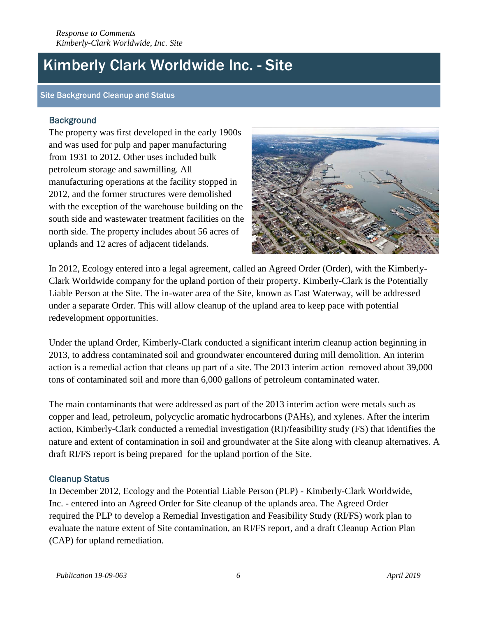# Kimberly Clark Worldwide Inc. - Site

### Site Background Cleanup and Status

#### **Background**

The property was first developed in the early 1900s and was used for pulp and paper manufacturing from 1931 to 2012. Other uses included bulk petroleum storage and sawmilling. All manufacturing operations at the facility stopped in 2012, and the former structures were demolished with the exception of the warehouse building on the south side and wastewater treatment facilities on the north side. The property includes about 56 acres of uplands and 12 acres of adjacent tidelands.



In 2012, Ecology entered into a legal agreement, called an Agreed Order (Order), with the Kimberly-Clark Worldwide company for the upland portion of their property. Kimberly-Clark is the Potentially Liable Person at the Site. The in-water area of the Site, known as East Waterway, will be addressed under a separate Order. This will allow cleanup of the upland area to keep pace with potential redevelopment opportunities.

Under the upland Order, Kimberly-Clark conducted a significant interim cleanup action beginning in 2013, to address contaminated soil and groundwater encountered during mill demolition. An interim action is a remedial action that cleans up part of a site. The 2013 interim action removed about 39,000 tons of contaminated soil and more than 6,000 gallons of petroleum contaminated water.

The main contaminants that were addressed as part of the 2013 interim action were metals such as copper and lead, petroleum, polycyclic aromatic hydrocarbons (PAHs), and xylenes. After the interim action, Kimberly-Clark conducted a remedial investigation (RI)/feasibility study (FS) that identifies the nature and extent of contamination in soil and groundwater at the Site along with cleanup alternatives. A draft RI/FS report is being prepared for the upland portion of the Site.

#### Cleanup Status

In December 2012, Ecology and the Potential Liable Person (PLP) - Kimberly-Clark Worldwide, Inc. - entered into an Agreed Order for Site cleanup of the uplands area. The Agreed Order required the PLP to develop a Remedial Investigation and Feasibility Study (RI/FS) work plan to evaluate the nature extent of Site contamination, an RI/FS report, and a draft Cleanup Action Plan (CAP) for upland remediation.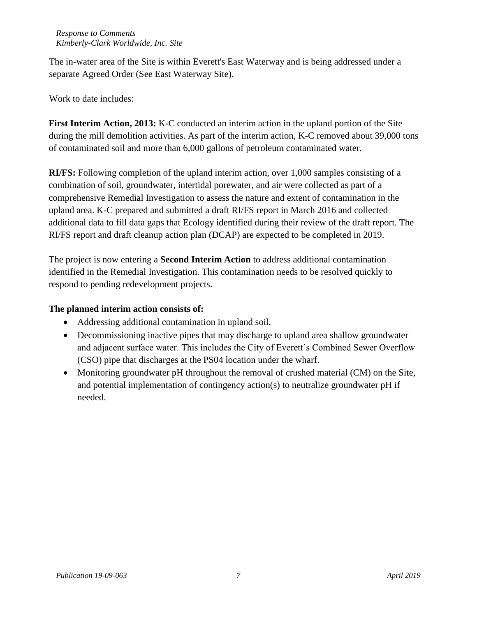The in-water area of the Site is within Everett's East Waterway and is being addressed under a separate Agreed Order (See East Waterway Site).

Work to date includes:

**First Interim Action, 2013:** K-C conducted an interim action in the upland portion of the Site during the mill demolition activities. As part of the interim action, K-C removed about 39,000 tons of contaminated soil and more than 6,000 gallons of petroleum contaminated water.

**RI/FS:** Following completion of the upland interim action, over 1,000 samples consisting of a combination of soil, groundwater, intertidal porewater, and air were collected as part of a comprehensive Remedial Investigation to assess the nature and extent of contamination in the upland area. K-C prepared and submitted a draft RI/FS report in March 2016 and collected additional data to fill data gaps that Ecology identified during their review of the draft report. The RI/FS report and draft cleanup action plan (DCAP) are expected to be completed in 2019.

The project is now entering a **Second Interim Action** to address additional contamination identified in the Remedial Investigation. This contamination needs to be resolved quickly to respond to pending redevelopment projects.

#### **The planned interim action consists of:**

- Addressing additional contamination in upland soil.
- Decommissioning inactive pipes that may discharge to upland area shallow groundwater and adjacent surface water. This includes the City of Everett's Combined Sewer Overflow (CSO) pipe that discharges at the PS04 location under the wharf.
- Monitoring groundwater pH throughout the removal of crushed material (CM) on the Site, and potential implementation of contingency action(s) to neutralize groundwater pH if needed.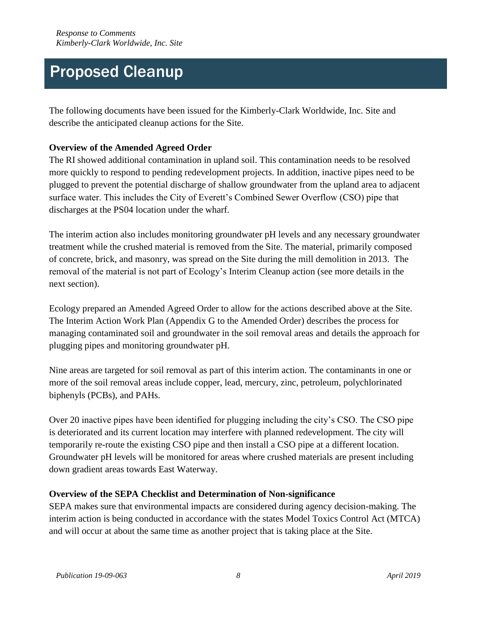# Proposed Cleanup

The following documents have been issued for the Kimberly-Clark Worldwide, Inc. Site and describe the anticipated cleanup actions for the Site.

#### **Overview of the Amended Agreed Order**

The RI showed additional contamination in upland soil. This contamination needs to be resolved more quickly to respond to pending redevelopment projects. In addition, inactive pipes need to be plugged to prevent the potential discharge of shallow groundwater from the upland area to adjacent surface water. This includes the City of Everett's Combined Sewer Overflow (CSO) pipe that discharges at the PS04 location under the wharf.

The interim action also includes monitoring groundwater pH levels and any necessary groundwater treatment while the crushed material is removed from the Site. The material, primarily composed of concrete, brick, and masonry, was spread on the Site during the mill demolition in 2013. The removal of the material is not part of Ecology's Interim Cleanup action (see more details in the next section).

Ecology prepared an Amended Agreed Order to allow for the actions described above at the Site. The Interim Action Work Plan (Appendix G to the Amended Order) describes the process for managing contaminated soil and groundwater in the soil removal areas and details the approach for plugging pipes and monitoring groundwater pH.

Nine areas are targeted for soil removal as part of this interim action. The contaminants in one or more of the soil removal areas include copper, lead, mercury, zinc, petroleum, polychlorinated biphenyls (PCBs), and PAHs.

Over 20 inactive pipes have been identified for plugging including the city's CSO. The CSO pipe is deteriorated and its current location may interfere with planned redevelopment. The city will temporarily re-route the existing CSO pipe and then install a CSO pipe at a different location. Groundwater pH levels will be monitored for areas where crushed materials are present including down gradient areas towards East Waterway.

#### **Overview of the SEPA Checklist and Determination of Non-significance**

SEPA makes sure that environmental impacts are considered during agency decision-making. The interim action is being conducted in accordance with the states Model Toxics Control Act (MTCA) and will occur at about the same time as another project that is taking place at the Site.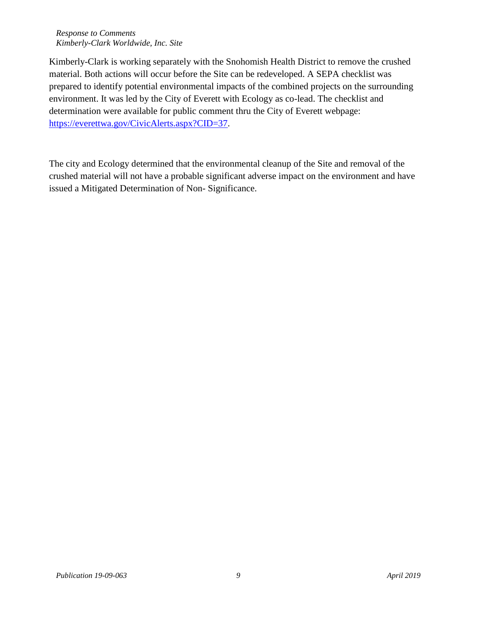#### *Response to Comments Kimberly-Clark Worldwide, Inc. Site*

Kimberly-Clark is working separately with the Snohomish Health District to remove the crushed material. Both actions will occur before the Site can be redeveloped. A SEPA checklist was prepared to identify potential environmental impacts of the combined projects on the surrounding environment. It was led by the City of Everett with Ecology as co-lead. The checklist and determination were available for public comment thru the City of Everett webpage: [https://everettwa.gov/CivicAlerts.aspx?CID=37.](https://everettwa.gov/CivicAlerts.aspx?CID=37)

The city and Ecology determined that the environmental cleanup of the Site and removal of the crushed material will not have a probable significant adverse impact on the environment and have issued a Mitigated Determination of Non- Significance.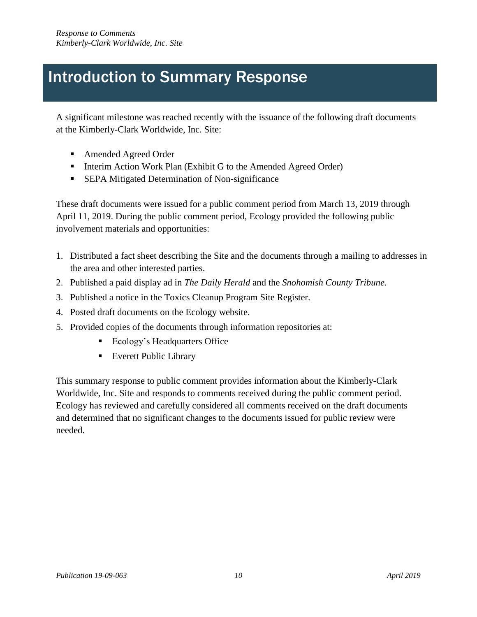## Introduction to Summary Response

A significant milestone was reached recently with the issuance of the following draft documents at the Kimberly-Clark Worldwide, Inc. Site:

- Amended Agreed Order
- **Interim Action Work Plan (Exhibit G to the Amended Agreed Order)**
- **EPA Mitigated Determination of Non-significance**

These draft documents were issued for a public comment period from March 13, 2019 through April 11, 2019. During the public comment period, Ecology provided the following public involvement materials and opportunities:

- 1. Distributed a fact sheet describing the Site and the documents through a mailing to addresses in the area and other interested parties.
- 2. Published a paid display ad in *The Daily Herald* and the *Snohomish County Tribune.*
- 3. Published a notice in the Toxics Cleanup Program Site Register.
- 4. Posted draft documents on the Ecology website.
- 5. Provided copies of the documents through information repositories at:
	- Ecology's Headquarters Office
	- Everett Public Library

This summary response to public comment provides information about the Kimberly-Clark Worldwide, Inc. Site and responds to comments received during the public comment period. Ecology has reviewed and carefully considered all comments received on the draft documents and determined that no significant changes to the documents issued for public review were needed.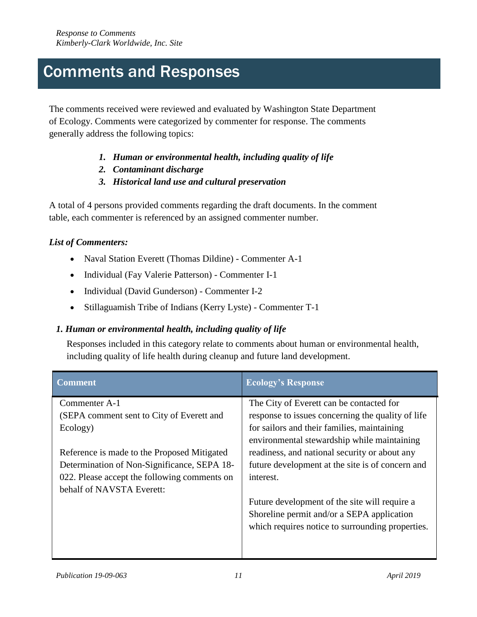### Comments and Responses

The comments received were reviewed and evaluated by Washington State Department of Ecology. Comments were categorized by commenter for response. The comments generally address the following topics:

- *1. Human or environmental health, including quality of life*
- *2. Contaminant discharge*
- *3. Historical land use and cultural preservation*

A total of 4 persons provided comments regarding the draft documents. In the comment table, each commenter is referenced by an assigned commenter number.

#### *List of Commenters:*

- Naval Station Everett (Thomas Dildine) Commenter A-1
- Individual (Fay Valerie Patterson) Commenter I-1
- Individual (David Gunderson) Commenter I-2
- Stillaguamish Tribe of Indians (Kerry Lyste) Commenter T-1

#### *1. Human or environmental health, including quality of life*

Responses included in this category relate to comments about human or environmental health, including quality of life health during cleanup and future land development.

| <b>Comment</b>                               | <b>Ecology's Response</b>                         |
|----------------------------------------------|---------------------------------------------------|
| Commenter A-1                                | The City of Everett can be contacted for          |
| (SEPA comment sent to City of Everett and    | response to issues concerning the quality of life |
| Ecology)                                     | for sailors and their families, maintaining       |
|                                              | environmental stewardship while maintaining       |
| Reference is made to the Proposed Mitigated  | readiness, and national security or about any     |
| Determination of Non-Significance, SEPA 18-  | future development at the site is of concern and  |
| 022. Please accept the following comments on | interest.                                         |
| behalf of NAVSTA Everett:                    |                                                   |
|                                              | Future development of the site will require a     |
|                                              | Shoreline permit and/or a SEPA application        |
|                                              | which requires notice to surrounding properties.  |
|                                              |                                                   |
|                                              |                                                   |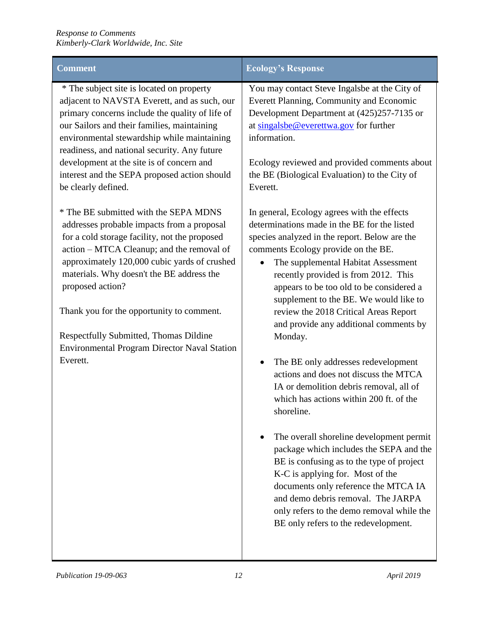| <b>Comment</b>                                                                                                                                                                                                                                                                                                                                                                                                                                               | <b>Ecology's Response</b>                                                                                                                                                                                                                                                                                                                                                                                                                                                                                                                                                                                                                                                                                                                                                                                                                                                                                                                                  |
|--------------------------------------------------------------------------------------------------------------------------------------------------------------------------------------------------------------------------------------------------------------------------------------------------------------------------------------------------------------------------------------------------------------------------------------------------------------|------------------------------------------------------------------------------------------------------------------------------------------------------------------------------------------------------------------------------------------------------------------------------------------------------------------------------------------------------------------------------------------------------------------------------------------------------------------------------------------------------------------------------------------------------------------------------------------------------------------------------------------------------------------------------------------------------------------------------------------------------------------------------------------------------------------------------------------------------------------------------------------------------------------------------------------------------------|
| * The subject site is located on property<br>adjacent to NAVSTA Everett, and as such, our<br>primary concerns include the quality of life of<br>our Sailors and their families, maintaining<br>environmental stewardship while maintaining<br>readiness, and national security. Any future<br>development at the site is of concern and<br>interest and the SEPA proposed action should<br>be clearly defined.                                               | You may contact Steve Ingalsbe at the City of<br>Everett Planning, Community and Economic<br>Development Department at (425)257-7135 or<br>at singalsbe@everettwa.gov for further<br>information.<br>Ecology reviewed and provided comments about<br>the BE (Biological Evaluation) to the City of<br>Everett.                                                                                                                                                                                                                                                                                                                                                                                                                                                                                                                                                                                                                                             |
| * The BE submitted with the SEPA MDNS<br>addresses probable impacts from a proposal<br>for a cold storage facility, not the proposed<br>action – MTCA Cleanup; and the removal of<br>approximately 120,000 cubic yards of crushed<br>materials. Why doesn't the BE address the<br>proposed action?<br>Thank you for the opportunity to comment.<br>Respectfully Submitted, Thomas Dildine<br><b>Environmental Program Director Naval Station</b><br>Everett. | In general, Ecology agrees with the effects<br>determinations made in the BE for the listed<br>species analyzed in the report. Below are the<br>comments Ecology provide on the BE.<br>The supplemental Habitat Assessment<br>recently provided is from 2012. This<br>appears to be too old to be considered a<br>supplement to the BE. We would like to<br>review the 2018 Critical Areas Report<br>and provide any additional comments by<br>Monday.<br>The BE only addresses redevelopment<br>$\bullet$<br>actions and does not discuss the MTCA<br>IA or demolition debris removal, all of<br>which has actions within 200 ft. of the<br>shoreline.<br>The overall shoreline development permit<br>package which includes the SEPA and the<br>BE is confusing as to the type of project<br>K-C is applying for. Most of the<br>documents only reference the MTCA IA<br>and demo debris removal. The JARPA<br>only refers to the demo removal while the |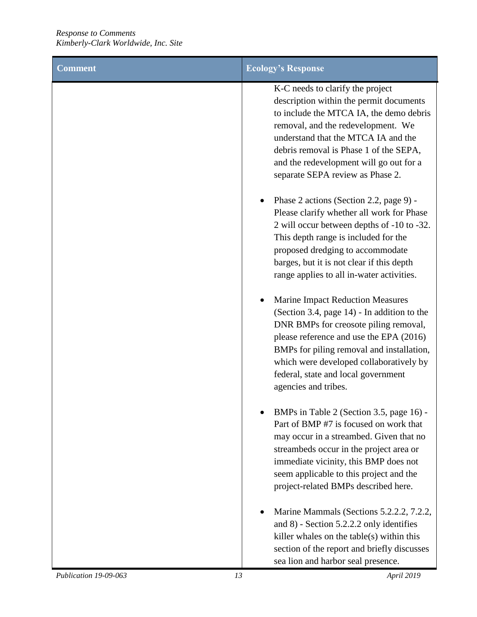| <b>Comment</b> | <b>Ecology's Response</b>                                                                                                                                                                                                                                                                                                         |
|----------------|-----------------------------------------------------------------------------------------------------------------------------------------------------------------------------------------------------------------------------------------------------------------------------------------------------------------------------------|
|                | K-C needs to clarify the project<br>description within the permit documents<br>to include the MTCA IA, the demo debris<br>removal, and the redevelopment. We<br>understand that the MTCA IA and the<br>debris removal is Phase 1 of the SEPA,<br>and the redevelopment will go out for a<br>separate SEPA review as Phase 2.      |
|                | Phase 2 actions (Section 2.2, page 9) -<br>Please clarify whether all work for Phase<br>2 will occur between depths of -10 to -32.<br>This depth range is included for the<br>proposed dredging to accommodate<br>barges, but it is not clear if this depth<br>range applies to all in-water activities.                          |
|                | <b>Marine Impact Reduction Measures</b><br>(Section 3.4, page 14) - In addition to the<br>DNR BMPs for creosote piling removal,<br>please reference and use the EPA (2016)<br>BMPs for piling removal and installation,<br>which were developed collaboratively by<br>federal, state and local government<br>agencies and tribes. |
|                | BMPs in Table 2 (Section 3.5, page 16) -<br>Part of BMP #7 is focused on work that<br>may occur in a streambed. Given that no<br>streambeds occur in the project area or<br>immediate vicinity, this BMP does not<br>seem applicable to this project and the<br>project-related BMPs described here.                              |
|                | Marine Mammals (Sections 5.2.2.2, 7.2.2,<br>and 8) - Section 5.2.2.2 only identifies<br>killer whales on the table(s) within this<br>section of the report and briefly discusses<br>sea lion and harbor seal presence.                                                                                                            |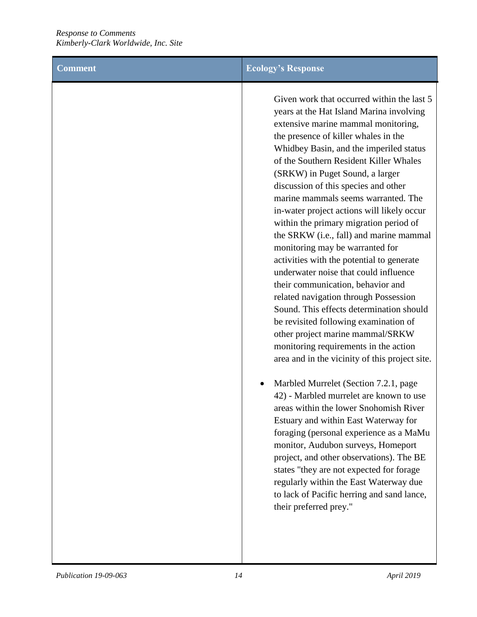| <b>Comment</b> | <b>Ecology's Response</b>                                                                                                                                                                                                                                                                                                                                                                                                                                                                                                                                                                                                                                                                                                                                                                                                                                                                                                                                                                                                                                                                                                                                                                                                                                                                                                                                                                                   |
|----------------|-------------------------------------------------------------------------------------------------------------------------------------------------------------------------------------------------------------------------------------------------------------------------------------------------------------------------------------------------------------------------------------------------------------------------------------------------------------------------------------------------------------------------------------------------------------------------------------------------------------------------------------------------------------------------------------------------------------------------------------------------------------------------------------------------------------------------------------------------------------------------------------------------------------------------------------------------------------------------------------------------------------------------------------------------------------------------------------------------------------------------------------------------------------------------------------------------------------------------------------------------------------------------------------------------------------------------------------------------------------------------------------------------------------|
|                | Given work that occurred within the last 5<br>years at the Hat Island Marina involving<br>extensive marine mammal monitoring,<br>the presence of killer whales in the<br>Whidbey Basin, and the imperiled status<br>of the Southern Resident Killer Whales<br>(SRKW) in Puget Sound, a larger<br>discussion of this species and other<br>marine mammals seems warranted. The<br>in-water project actions will likely occur<br>within the primary migration period of<br>the SRKW (i.e., fall) and marine mammal<br>monitoring may be warranted for<br>activities with the potential to generate<br>underwater noise that could influence<br>their communication, behavior and<br>related navigation through Possession<br>Sound. This effects determination should<br>be revisited following examination of<br>other project marine mammal/SRKW<br>monitoring requirements in the action<br>area and in the vicinity of this project site.<br>Marbled Murrelet (Section 7.2.1, page<br>42) - Marbled murrelet are known to use<br>areas within the lower Snohomish River<br>Estuary and within East Waterway for<br>foraging (personal experience as a MaMu<br>monitor, Audubon surveys, Homeport<br>project, and other observations). The BE<br>states "they are not expected for forage<br>regularly within the East Waterway due<br>to lack of Pacific herring and sand lance,<br>their preferred prey." |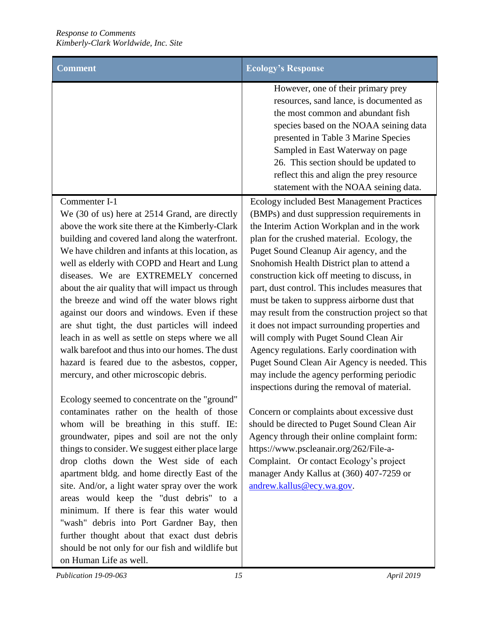| <b>Comment</b>                                                                                                                                                                                                                                                                                                                                                                                                                                                                                                                                                                                                                                                                                                                                               | <b>Ecology's Response</b>                                                                                                                                                                                                                                                                                                                                                                                                                                                                                                                                                                                                                                                                                                        |
|--------------------------------------------------------------------------------------------------------------------------------------------------------------------------------------------------------------------------------------------------------------------------------------------------------------------------------------------------------------------------------------------------------------------------------------------------------------------------------------------------------------------------------------------------------------------------------------------------------------------------------------------------------------------------------------------------------------------------------------------------------------|----------------------------------------------------------------------------------------------------------------------------------------------------------------------------------------------------------------------------------------------------------------------------------------------------------------------------------------------------------------------------------------------------------------------------------------------------------------------------------------------------------------------------------------------------------------------------------------------------------------------------------------------------------------------------------------------------------------------------------|
|                                                                                                                                                                                                                                                                                                                                                                                                                                                                                                                                                                                                                                                                                                                                                              | However, one of their primary prey<br>resources, sand lance, is documented as<br>the most common and abundant fish<br>species based on the NOAA seining data<br>presented in Table 3 Marine Species<br>Sampled in East Waterway on page<br>26. This section should be updated to<br>reflect this and align the prey resource<br>statement with the NOAA seining data.                                                                                                                                                                                                                                                                                                                                                            |
| Commenter I-1                                                                                                                                                                                                                                                                                                                                                                                                                                                                                                                                                                                                                                                                                                                                                | <b>Ecology included Best Management Practices</b>                                                                                                                                                                                                                                                                                                                                                                                                                                                                                                                                                                                                                                                                                |
| We (30 of us) here at 2514 Grand, are directly<br>above the work site there at the Kimberly-Clark<br>building and covered land along the waterfront.<br>We have children and infants at this location, as<br>well as elderly with COPD and Heart and Lung<br>diseases. We are EXTREMELY concerned<br>about the air quality that will impact us through<br>the breeze and wind off the water blows right<br>against our doors and windows. Even if these<br>are shut tight, the dust particles will indeed<br>leach in as well as settle on steps where we all<br>walk barefoot and thus into our homes. The dust<br>hazard is feared due to the asbestos, copper,<br>mercury, and other microscopic debris.<br>Ecology seemed to concentrate on the "ground" | (BMPs) and dust suppression requirements in<br>the Interim Action Workplan and in the work<br>plan for the crushed material. Ecology, the<br>Puget Sound Cleanup Air agency, and the<br>Snohomish Health District plan to attend a<br>construction kick off meeting to discuss, in<br>part, dust control. This includes measures that<br>must be taken to suppress airborne dust that<br>may result from the construction project so that<br>it does not impact surrounding properties and<br>will comply with Puget Sound Clean Air<br>Agency regulations. Early coordination with<br>Puget Sound Clean Air Agency is needed. This<br>may include the agency performing periodic<br>inspections during the removal of material. |
| contaminates rather on the health of those<br>whom will be breathing in this stuff. IE:<br>groundwater, pipes and soil are not the only<br>things to consider. We suggest either place large<br>drop cloths down the West side of each<br>apartment bldg. and home directly East of the<br>site. And/or, a light water spray over the work<br>areas would keep the "dust debris" to a<br>minimum. If there is fear this water would<br>"wash" debris into Port Gardner Bay, then<br>further thought about that exact dust debris<br>should be not only for our fish and wildlife but<br>on Human Life as well.                                                                                                                                               | Concern or complaints about excessive dust<br>should be directed to Puget Sound Clean Air<br>Agency through their online complaint form:<br>https://www.pscleanair.org/262/File-a-<br>Complaint. Or contact Ecology's project<br>manager Andy Kallus at (360) 407-7259 or<br>andrew.kallus@ecy.wa.gov.                                                                                                                                                                                                                                                                                                                                                                                                                           |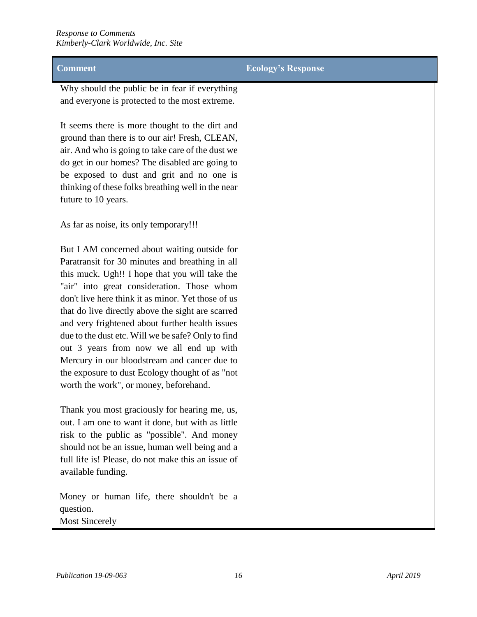| <b>Comment</b>                                                                                                                                                                                                                                                                                                                                                                                                                                                                                                                                                                                              | <b>Ecology's Response</b> |
|-------------------------------------------------------------------------------------------------------------------------------------------------------------------------------------------------------------------------------------------------------------------------------------------------------------------------------------------------------------------------------------------------------------------------------------------------------------------------------------------------------------------------------------------------------------------------------------------------------------|---------------------------|
| Why should the public be in fear if everything<br>and everyone is protected to the most extreme.                                                                                                                                                                                                                                                                                                                                                                                                                                                                                                            |                           |
| It seems there is more thought to the dirt and<br>ground than there is to our air! Fresh, CLEAN,<br>air. And who is going to take care of the dust we<br>do get in our homes? The disabled are going to<br>be exposed to dust and grit and no one is<br>thinking of these folks breathing well in the near<br>future to 10 years.                                                                                                                                                                                                                                                                           |                           |
| As far as noise, its only temporary!!!                                                                                                                                                                                                                                                                                                                                                                                                                                                                                                                                                                      |                           |
| But I AM concerned about waiting outside for<br>Paratransit for 30 minutes and breathing in all<br>this muck. Ugh!! I hope that you will take the<br>"air" into great consideration. Those whom<br>don't live here think it as minor. Yet those of us<br>that do live directly above the sight are scarred<br>and very frightened about further health issues<br>due to the dust etc. Will we be safe? Only to find<br>out 3 years from now we all end up with<br>Mercury in our bloodstream and cancer due to<br>the exposure to dust Ecology thought of as "not<br>worth the work", or money, beforehand. |                           |
| Thank you most graciously for hearing me, us,<br>out. I am one to want it done, but with as little<br>risk to the public as "possible". And money<br>should not be an issue, human well being and a<br>full life is! Please, do not make this an issue of<br>available funding.                                                                                                                                                                                                                                                                                                                             |                           |
| Money or human life, there shouldn't be a<br>question.<br><b>Most Sincerely</b>                                                                                                                                                                                                                                                                                                                                                                                                                                                                                                                             |                           |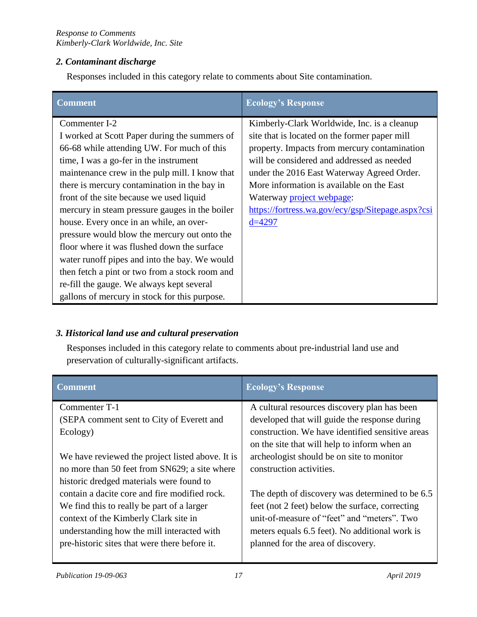#### *2. Contaminant discharge*

Responses included in this category relate to comments about Site contamination.

| <b>Comment</b>                                 | <b>Ecology's Response</b>                         |
|------------------------------------------------|---------------------------------------------------|
| Commenter I-2                                  | Kimberly-Clark Worldwide, Inc. is a cleanup       |
| I worked at Scott Paper during the summers of  | site that is located on the former paper mill     |
| 66-68 while attending UW. For much of this     | property. Impacts from mercury contamination      |
| time, I was a go-fer in the instrument         | will be considered and addressed as needed        |
| maintenance crew in the pulp mill. I know that | under the 2016 East Waterway Agreed Order.        |
| there is mercury contamination in the bay in   | More information is available on the East         |
| front of the site because we used liquid       | Waterway project webpage:                         |
| mercury in steam pressure gauges in the boiler | https://fortress.wa.gov/ecy/gsp/Sitepage.aspx?csi |
| house. Every once in an while, an over-        | $d = 4297$                                        |
| pressure would blow the mercury out onto the   |                                                   |
| floor where it was flushed down the surface    |                                                   |
| water runoff pipes and into the bay. We would  |                                                   |
| then fetch a pint or two from a stock room and |                                                   |
| re-fill the gauge. We always kept several      |                                                   |
| gallons of mercury in stock for this purpose.  |                                                   |

#### *3. Historical land use and cultural preservation*

Responses included in this category relate to comments about pre-industrial land use and preservation of culturally-significant artifacts.

| Comment                                          | <b>Ecology's Response</b>                        |
|--------------------------------------------------|--------------------------------------------------|
| Commenter T-1                                    | A cultural resources discovery plan has been     |
| (SEPA comment sent to City of Everett and        | developed that will guide the response during    |
| Ecology)                                         | construction. We have identified sensitive areas |
|                                                  | on the site that will help to inform when an     |
| We have reviewed the project listed above. It is | archeologist should be on site to monitor        |
| no more than 50 feet from SN629; a site where    | construction activities.                         |
| historic dredged materials were found to         |                                                  |
| contain a dacite core and fire modified rock.    | The depth of discovery was determined to be 6.5  |
| We find this to really be part of a larger       | feet (not 2 feet) below the surface, correcting  |
| context of the Kimberly Clark site in            | unit-of-measure of "feet" and "meters". Two      |
| understanding how the mill interacted with       | meters equals 6.5 feet). No additional work is   |
| pre-historic sites that were there before it.    | planned for the area of discovery.               |
|                                                  |                                                  |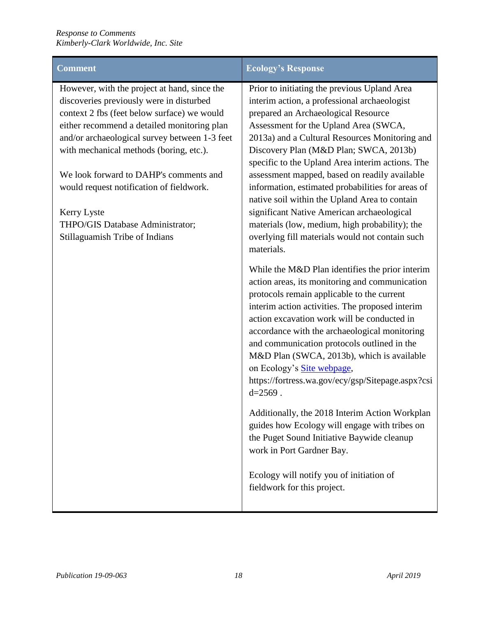| <b>Comment</b>                                                                                                                                                                                                                                                                                                                                                                                                                                                | <b>Ecology's Response</b>                                                                                                                                                                                                                                                                                                                                                                                                                                                                                                                                                                                                                                                                                                                                   |
|---------------------------------------------------------------------------------------------------------------------------------------------------------------------------------------------------------------------------------------------------------------------------------------------------------------------------------------------------------------------------------------------------------------------------------------------------------------|-------------------------------------------------------------------------------------------------------------------------------------------------------------------------------------------------------------------------------------------------------------------------------------------------------------------------------------------------------------------------------------------------------------------------------------------------------------------------------------------------------------------------------------------------------------------------------------------------------------------------------------------------------------------------------------------------------------------------------------------------------------|
| However, with the project at hand, since the<br>discoveries previously were in disturbed<br>context 2 fbs (feet below surface) we would<br>either recommend a detailed monitoring plan<br>and/or archaeological survey between 1-3 feet<br>with mechanical methods (boring, etc.).<br>We look forward to DAHP's comments and<br>would request notification of fieldwork.<br>Kerry Lyste<br>THPO/GIS Database Administrator;<br>Stillaguamish Tribe of Indians | Prior to initiating the previous Upland Area<br>interim action, a professional archaeologist<br>prepared an Archaeological Resource<br>Assessment for the Upland Area (SWCA,<br>2013a) and a Cultural Resources Monitoring and<br>Discovery Plan (M&D Plan; SWCA, 2013b)<br>specific to the Upland Area interim actions. The<br>assessment mapped, based on readily available<br>information, estimated probabilities for areas of<br>native soil within the Upland Area to contain<br>significant Native American archaeological<br>materials (low, medium, high probability); the<br>overlying fill materials would not contain such<br>materials.                                                                                                        |
|                                                                                                                                                                                                                                                                                                                                                                                                                                                               | While the M&D Plan identifies the prior interim<br>action areas, its monitoring and communication<br>protocols remain applicable to the current<br>interim action activities. The proposed interim<br>action excavation work will be conducted in<br>accordance with the archaeological monitoring<br>and communication protocols outlined in the<br>M&D Plan (SWCA, 2013b), which is available<br>on Ecology's Site webpage,<br>https://fortress.wa.gov/ecy/gsp/Sitepage.aspx?csi<br>$d = 2569$ .<br>Additionally, the 2018 Interim Action Workplan<br>guides how Ecology will engage with tribes on<br>the Puget Sound Initiative Baywide cleanup<br>work in Port Gardner Bay.<br>Ecology will notify you of initiation of<br>fieldwork for this project. |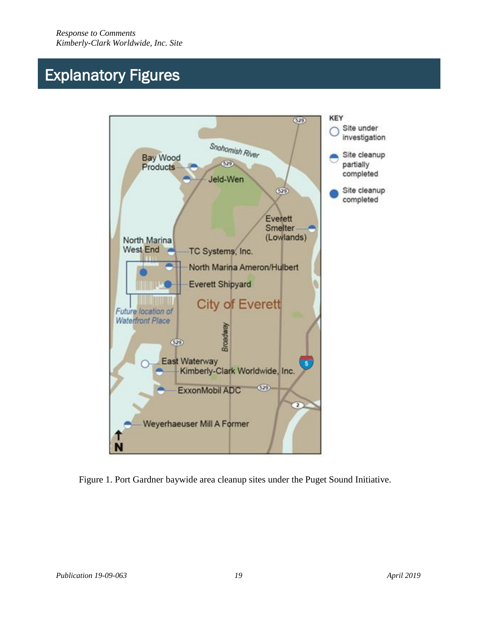# Explanatory Figures



Figure 1. Port Gardner baywide area cleanup sites under the Puget Sound Initiative.